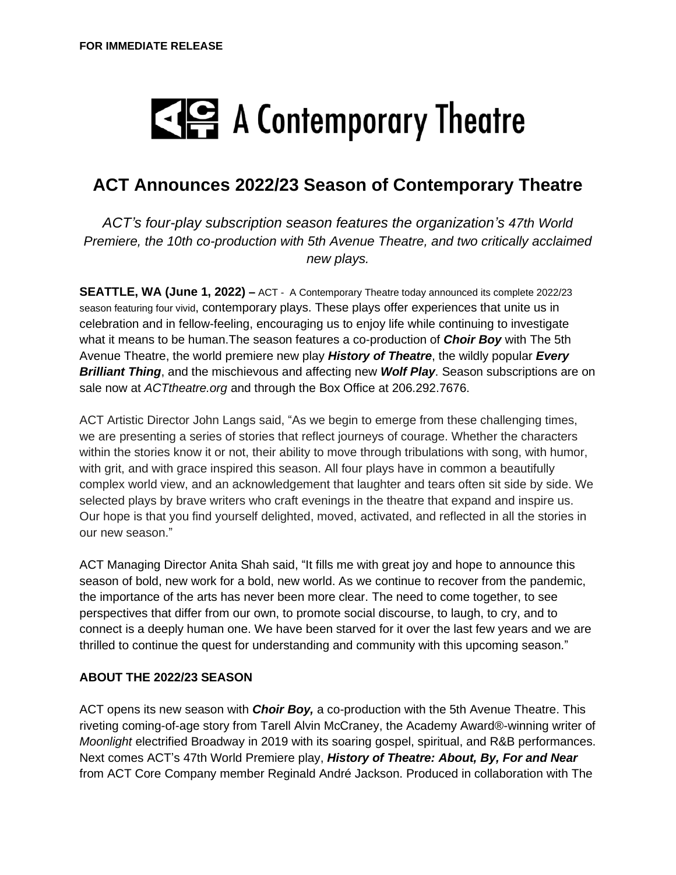# $\mathbb{Z}$  A Contemporary Theatre

# **ACT Announces 2022/23 Season of Contemporary Theatre**

*ACT's four-play subscription season features the organization's 47th World Premiere, the 10th co-production with 5th Avenue Theatre, and two critically acclaimed new plays.*

**SEATTLE, WA (June 1, 2022) –** ACT - A Contemporary Theatre today announced its complete 2022/23 season featuring four vivid, contemporary plays. These plays offer experiences that unite us in celebration and in fellow-feeling, encouraging us to enjoy life while continuing to investigate what it means to be human.The season features a co-production of *Choir Boy* with The 5th Avenue Theatre, the world premiere new play *History of Theatre*, the wildly popular *Every Brilliant Thing*, and the mischievous and affecting new *Wolf Play*. Season subscriptions are on sale now at *ACTtheatre.org* and through the Box Office at 206.292.7676.

ACT Artistic Director John Langs said, "As we begin to emerge from these challenging times, we are presenting a series of stories that reflect journeys of courage. Whether the characters within the stories know it or not, their ability to move through tribulations with song, with humor, with grit, and with grace inspired this season. All four plays have in common a beautifully complex world view, and an acknowledgement that laughter and tears often sit side by side. We selected plays by brave writers who craft evenings in the theatre that expand and inspire us. Our hope is that you find yourself delighted, moved, activated, and reflected in all the stories in our new season."

ACT Managing Director Anita Shah said, "It fills me with great joy and hope to announce this season of bold, new work for a bold, new world. As we continue to recover from the pandemic, the importance of the arts has never been more clear. The need to come together, to see perspectives that differ from our own, to promote social discourse, to laugh, to cry, and to connect is a deeply human one. We have been starved for it over the last few years and we are thrilled to continue the quest for understanding and community with this upcoming season."

## **ABOUT THE 2022/23 SEASON**

ACT opens its new season with *Choir Boy,* a co-production with the 5th Avenue Theatre. This riveting coming-of-age story from Tarell Alvin McCraney, the Academy Award®-winning writer of *Moonlight* electrified Broadway in 2019 with its soaring gospel, spiritual, and R&B performances. Next comes ACT's 47th World Premiere play, *History of Theatre: About, By, For and Near* from ACT Core Company member Reginald André Jackson. Produced in collaboration with The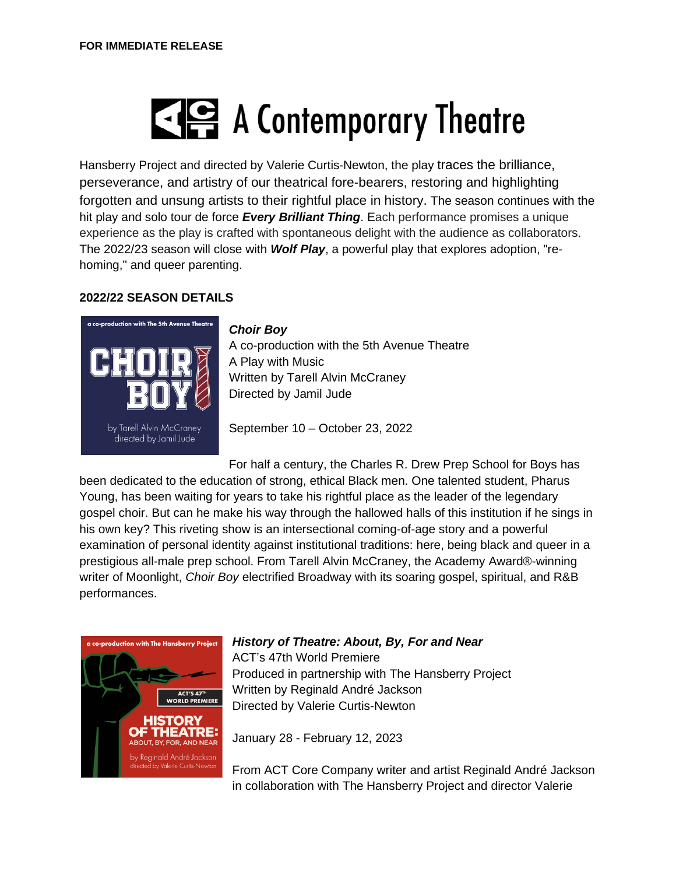# $\leq$   $\leq$  A Contemporary Theatre

Hansberry Project and directed by Valerie Curtis-Newton, the play traces the brilliance, perseverance, and artistry of our theatrical fore-bearers, restoring and highlighting forgotten and unsung artists to their rightful place in history. The season continues with the hit play and solo tour de force *Every Brilliant Thing*. Each performance promises a unique experience as the play is crafted with spontaneous delight with the audience as collaborators. The 2022/23 season will close with *Wolf Play*, a powerful play that explores adoption, "rehoming," and queer parenting.

# **2022/22 SEASON DETAILS**



## *Choir Boy*

A co-production with the 5th Avenue Theatre A Play with Music Written by Tarell Alvin McCraney Directed by Jamil Jude

September 10 – October 23, 2022

For half a century, the Charles R. Drew Prep School for Boys has

been dedicated to the education of strong, ethical Black men. One talented student, Pharus Young, has been waiting for years to take his rightful place as the leader of the legendary gospel choir. But can he make his way through the hallowed halls of this institution if he sings in his own key? This riveting show is an intersectional coming-of-age story and a powerful examination of personal identity against institutional traditions: here, being black and queer in a prestigious all-male prep school. From Tarell Alvin McCraney, the Academy Award®-winning writer of Moonlight, *Choir Boy* electrified Broadway with its soaring gospel, spiritual, and R&B performances.



## *History of Theatre: About, By, For and Near*

ACT's 47th World Premiere Produced in partnership with The Hansberry Project Written by Reginald André Jackson Directed by Valerie Curtis-Newton

January 28 - February 12, 2023

From ACT Core Company writer and artist Reginald André Jackson in collaboration with The Hansberry Project and director Valerie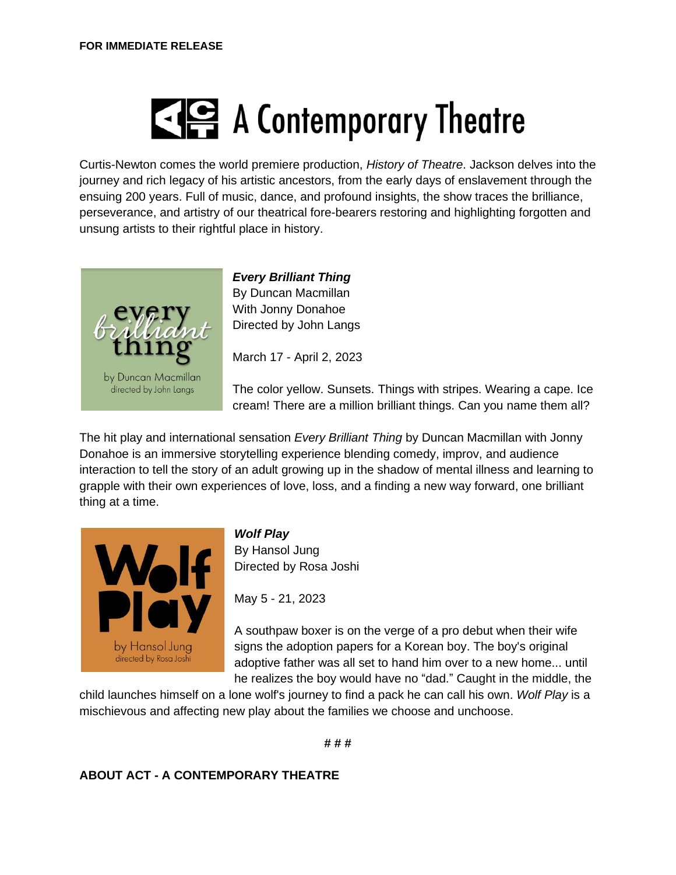# A Contemporary Theatre

Curtis-Newton comes the world premiere production, *History of Theatre*. Jackson delves into the journey and rich legacy of his artistic ancestors, from the early days of enslavement through the ensuing 200 years. Full of music, dance, and profound insights, the show traces the brilliance, perseverance, and artistry of our theatrical fore-bearers restoring and highlighting forgotten and unsung artists to their rightful place in history.



*Every Brilliant Thing* By Duncan Macmillan With Jonny Donahoe Directed by John Langs

March 17 - April 2, 2023

The color yellow. Sunsets. Things with stripes. Wearing a cape. Ice cream! There are a million brilliant things. Can you name them all?

The hit play and international sensation *Every Brilliant Thing* by Duncan Macmillan with Jonny Donahoe is an immersive storytelling experience blending comedy, improv, and audience interaction to tell the story of an adult growing up in the shadow of mental illness and learning to grapple with their own experiences of love, loss, and a finding a new way forward, one brilliant thing at a time.



*Wolf Play*

By Hansol Jung Directed by Rosa Joshi

May 5 - 21, 2023

A southpaw boxer is on the verge of a pro debut when their wife signs the adoption papers for a Korean boy. The boy's original adoptive father was all set to hand him over to a new home... until he realizes the boy would have no "dad." Caught in the middle, the

child launches himself on a lone wolf's journey to find a pack he can call his own. *Wolf Play* is a mischievous and affecting new play about the families we choose and unchoose.

**# # #**

# **ABOUT ACT - A CONTEMPORARY THEATRE**